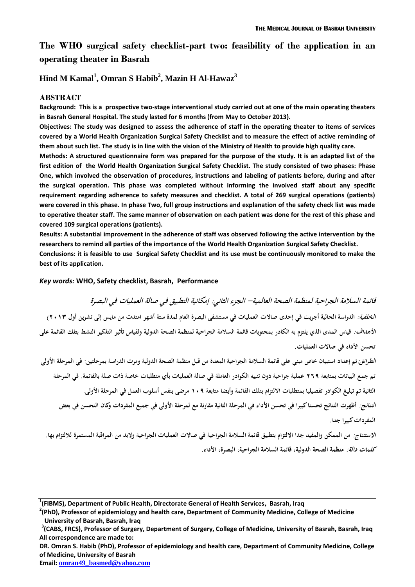# **The WHO surgical safety checklist-part two: feasibility of the application in an operating theater in Basrah**

### **Hind M Kamal<sup>1</sup> , Omran S Habib<sup>2</sup> , Mazin H Al-Hawaz<sup>3</sup>**

#### **ABSTRACT**

**Background: This is a prospective two-stage interventional study carried out at one of the main operating theaters in Basrah General Hospital. The study lasted for 6 months (from May to October 2013).** 

**Objectives: The study was designed to assess the adherence of staff in the operating theater to items of services covered by a World Health Organization Surgical Safety Checklist and to measure the effect of active reminding of them about such list. The study is in line with the vision of the Ministry of Health to provide high quality care.**

**Methods: A structured questionnaire form was prepared for the purpose of the study. It is an adapted list of the first edition of the World Health Organization Surgical Safety Checklist. The study consisted of two phases: Phase One, which involved the observation of procedures, instructions and labeling of patients before, during and after the surgical operation. This phase was completed without informing the involved staff about any specific requirement regarding adherence to safety measures and checklist. A total of 269 surgical operations (patients) were covered in this phase. In phase Two, full group instructions and explanation of the safety check list was made to operative theater staff. The same manner of observation on each patient was done for the rest of this phase and covered 109 surgical operations (patients).**

**Results: A substantial improvement in the adherence of staff was observed following the active intervention by the researchers to remind all parties of the importance of the World Health Organization Surgical Safety Checklist. Conclusions: it is feasible to use Surgical Safety Checklist and its use must be continuously monitored to make the** 

**best of its application.**

#### *Key words:* **WHO, Safety checklist, Basrah, Performance**

**قائمة السالمة الجراحية لمنظمة الصحة العالمية- الجزء الثاني: إمكانية التطبيق في صالة العمليات في البصرة الخلفية: الدراسة الحالية أجريت في إحدى صاالت العمليات في مستشفى البصرة العام لمدة ستة أشهر امتدت من مايس إلى تشرين أول 3102( األهداف: قياس المدى الذي يلتزم به الكادر بمحتويات قائمة السالمة الجراحية لمنظمة الصحة الدولية ولقياس تأثير التذكير النشط بتلك القائمة على تحسن األداء في صاالت العمليات.**

**الطرائق:تم إعداد استبيان خاص مبني على قائمة السالمة الجراحية المعدة من قبل منظمة الصحة الدولية ومرت الدراسة بمرحلتين: في المرحلة األولى تم جمع البيانات بمتابعة 362 عملية جراحية دون تنبيه الكوادر العاملة في صالة العمليات بأي متطلبات خاصة ذات صلة بالقائمة. في المرحلة الثانية تم تبليغ الكوادر تفصيليا بمتطلبات االلتزام بتلك القائمة وأيضا متابعة 012 مرضى بنفس أسلوب العمل في المرحلة األولى.**

**النتائج: أظهرت النتائج تحسنا كبيرا في تحسن األداء في المرحلة الثانية مقارنة مع لمرحلة األولى في جميع المفردات وكان التحسن في بعض المفردات كبيرا جدا.**

*الاستنتاج:* من الممكن والمفيد جدا الالتزام بتطبيق قائمة السلامة الجراحية في صالات العمليات الجراحية ولابد من المراقبة المستمرة للالتزام بها. **كلمات دالة: منظمة الصحة الدولية، قائمة السالمة الجراحية، البصرة، األداء.**

**DR. Omran S. Habib (PhD), Professor of epidemiology and health care, Department of Community Medicine, College of Medicine, University of Basrah**

**Email: omran49\_basmed@yahoo.com**

**<sup>1</sup> (FIBMS), Department of Public Health, Directorate General of Health Services, Basrah, Iraq**

**<sup>2</sup> (PhD), Professor of epidemiology and health care, Department of Community Medicine, College of Medicine University of Basrah, Basrah, Iraq**

**<sup>3</sup> (CABS, FRCS), Professor of Surgery, Department of Surgery, College of Medicine, University of Basrah, Basrah, Iraq All correspondence are made to:**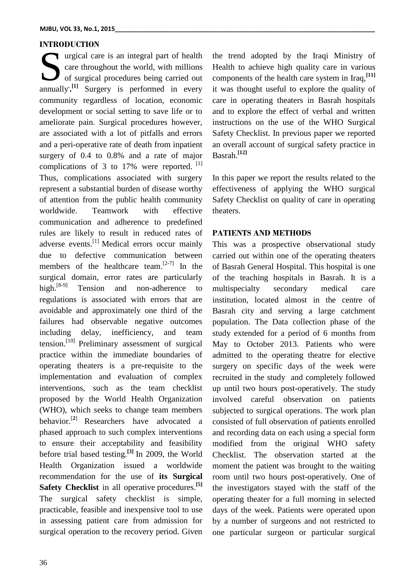### **INTRODUCTION**

urgical care is an integral part of health care throughout the world, with millions of surgical procedures being carried out **and Surgery** is an integral part of health care throughout the world, with millions of surgical procedures being carried out annually.<sup>[1]</sup> Surgery is performed in every community regardless of location, economic development or social setting to save life or to ameliorate pain. Surgical procedures however, are associated with a lot of pitfalls and errors and a peri-operative rate of death from inpatient surgery of 0.4 to 0.8% and a rate of major complications of 3 to 17% were reported.  $[1]$ Thus, complications associated with surgery represent a substantial burden of disease worthy of attention from the public health community worldwide. Teamwork with effective communication and adherence to predefined rules are likely to result in reduced rates of adverse events.[1] Medical errors occur mainly due to defective communication between members of the healthcare team. $[2-7]$  In the surgical domain, error rates are particularly high.<sup>[8-9]</sup> Tension and non-adherence to regulations is associated with errors that are avoidable and approximately one third of the failures had observable negative outcomes including delay, inefficiency, and team tension.<sup>[10]</sup> Preliminary assessment of surgical practice within the immediate boundaries of operating theaters is a pre-requisite to the implementation and evaluation of complex interventions, such as the team checklist proposed by the World Health Organization (WHO), which seeks to change team members behavior.[**2**] Researchers have advocated a phased approach to such complex interventions to ensure their acceptability and feasibility before trial based testing.**[3]** In 2009, the World Health Organization issued a worldwide recommendation for the use of **its Surgical Safety Checklist** in all operative procedures.**[5]** The surgical safety checklist is simple, practicable, feasible and inexpensive tool to use in assessing patient care from admission for surgical operation to the recovery period. Given

36

the trend adopted by the Iraqi Ministry of Health to achieve high quality care in various components of the health care system in Iraq,**[11]** it was thought useful to explore the quality of care in operating theaters in Basrah hospitals and to explore the effect of verbal and written instructions on the use of the WHO Surgical Safety Checklist. In previous paper we reported an overall account of surgical safety practice in Basrah.**[12]**

In this paper we report the results related to the effectiveness of applying the WHO surgical Safety Checklist on quality of care in operating theaters.

### **PATIENTS AND METHODS**

This was a prospective observational study carried out within one of the operating theaters of Basrah General Hospital. This hospital is one of the teaching hospitals in Basrah. It is a multispecialty secondary medical care institution, located almost in the centre of Basrah city and serving a large catchment population. The Data collection phase of the study extended for a period of 6 months from May to October 2013. Patients who were admitted to the operating theatre for elective surgery on specific days of the week were recruited in the study and completely followed up until two hours post-operatively. The study involved careful observation on patients subjected to surgical operations. The work plan consisted of full observation of patients enrolled and recording data on each using a special form modified from the original WHO safety Checklist. The observation started at the moment the patient was brought to the waiting room until two hours post-operatively. One of the investigators stayed with the staff of the operating theater for a full morning in selected days of the week. Patients were operated upon by a number of surgeons and not restricted to one particular surgeon or particular surgical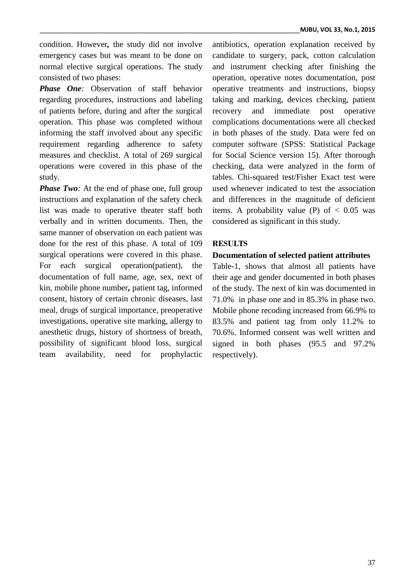condition. However*,* the study did not involve emergency cases but was meant to be done on normal elective surgical operations. The study consisted of two phases:

*Phase One:* Observation of staff behavior regarding procedures, instructions and labeling of patients before, during and after the surgical operation. This phase was completed without informing the staff involved about any specific requirement regarding adherence to safety measures and checklist. A total of 269 surgical operations were covered in this phase of the study.

*Phase Two:* At the end of phase one, full group instructions and explanation of the safety check list was made to operative theater staff both verbally and in written documents. Then, the same manner of observation on each patient was done for the rest of this phase. A total of 109 surgical operations were covered in this phase. For each surgical operation(patient), the documentation of full name, age, sex, next of kin, mobile phone number**,** patient tag, informed consent, history of certain chronic diseases, last meal, drugs of surgical importance, preoperative investigations, operative site marking, allergy to anesthetic drugs, history of shortness of breath, possibility of significant blood loss, surgical team availability, need for prophylactic

antibiotics, operation explanation received by candidate to surgery, pack, cotton calculation and instrument checking after finishing the operation, operative notes documentation, post operative treatments and instructions, biopsy taking and marking, devices checking, patient recovery and immediate post operative complications documentations were all checked in both phases of the study. Data were fed on computer software (SPSS: Statistical Package for Social Science version 15). After thorough checking, data were analyzed in the form of tables. Chi-squared test/Fisher Exact test were used whenever indicated to test the association and differences in the magnitude of deficient items. A probability value (P) of  $< 0.05$  was considered as significant in this study.

### **RESULTS**

### **Documentation of selected patient attributes**

Table-1, shows that almost all patients have their age and gender documented in both phases of the study. The next of kin was documented in 71.0% in phase one and in 85.3% in phase two. Mobile phone recoding increased from 66.9% to 83.5% and patient tag from only 11.2% to 70.6%. Informed consent was well written and signed in both phases (95.5 and 97.2% respectively).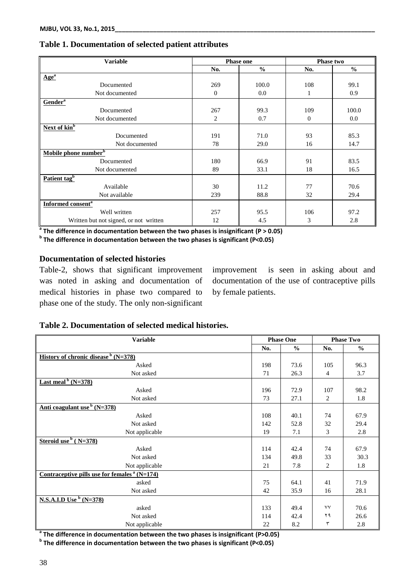| <b>Variable</b>                        | <b>Phase one</b> |               | Phase two      |               |
|----------------------------------------|------------------|---------------|----------------|---------------|
|                                        | No.              | $\frac{0}{0}$ | No.            | $\frac{0}{0}$ |
| $\mathbf{Age}^{\mathbf{a}}$            |                  |               |                |               |
| Documented                             | 269              | 100.0         | 108            | 99.1          |
| Not documented                         | $\mathbf{0}$     | 0.0           | 1              | 0.9           |
| Gender <sup>a</sup>                    |                  |               |                |               |
| Documented                             | 267              | 99.3          | 109            | 100.0         |
| Not documented                         | 2                | 0.7           | $\overline{0}$ | $0.0\,$       |
| Next of kin <sup>b</sup>               |                  |               |                |               |
| Documented                             | 191              | 71.0          | 93             | 85.3          |
| Not documented                         | 78               | 29.0          | 16             | 14.7          |
| Mobile phone number <sup>b</sup>       |                  |               |                |               |
| Documented                             | 180              | 66.9          | 91             | 83.5          |
| Not documented                         | 89               | 33.1          | 18             | 16.5          |
| Patient tag <sup>b</sup>               |                  |               |                |               |
| Available                              | 30               | 11.2          | 77             | 70.6          |
| Not available                          | 239              | 88.8          | 32             | 29.4          |
| <b>Informed consent<sup>a</sup></b>    |                  |               |                |               |
| Well written                           | 257              | 95.5          | 106            | 97.2          |
| Written but not signed, or not written | 12               | 4.5           | 3              | 2.8           |

## **Table 1. Documentation of selected patient attributes**

**a The difference in documentation between the two phases is insignificant (P > 0.05)**

**b The difference in documentation between the two phases is significant (P<0.05)**

### **Documentation of selected histories**

Table-2, shows that significant improvement was noted in asking and documentation of medical histories in phase two compared to phase one of the study. The only non-significant

improvement is seen in asking about and documentation of the use of contraceptive pills by female patients.

### **Table 2. Documentation of selected medical histories.**

| <b>Variable</b>                                | <b>Phase One</b> |               | <b>Phase Two</b> |               |
|------------------------------------------------|------------------|---------------|------------------|---------------|
|                                                | No.              | $\frac{0}{0}$ | No.              | $\frac{0}{0}$ |
| <b>History of chronic disease</b> $^b$ (N=378) |                  |               |                  |               |
| Asked                                          | 198              | 73.6          | 105              | 96.3          |
| Not asked                                      | 71               | 26.3          | $\overline{4}$   | 3.7           |
| Last meal $b$ (N=378)                          |                  |               |                  |               |
| Asked                                          | 196              | 72.9          | 107              | 98.2          |
| Not asked                                      | 73               | 27.1          | 2                | 1.8           |
| Anti coagulant use $b(N=378)$                  |                  |               |                  |               |
| Asked                                          | 108              | 40.1          | 74               | 67.9          |
| Not asked                                      | 142              | 52.8          | 32               | 29.4          |
| Not applicable                                 | 19               | 7.1           | 3                | 2.8           |
| Steroid use $b$ (N=378)                        |                  |               |                  |               |
| Asked                                          | 114              | 42.4          | 74               | 67.9          |
| Not asked                                      | 134              | 49.8          | 33               | 30.3          |
| Not applicable                                 | 21               | 7.8           | $\overline{c}$   | 1.8           |
| Contraceptive pills use for females $a(N=174)$ |                  |               |                  |               |
| asked                                          | 75               | 64.1          | 41               | 71.9          |
| Not asked                                      | 42               | 35.9          | 16               | 28.1          |
| <b>N.S.A.I.D Use</b> $^{\rm b}$ (N=378)        |                  |               |                  |               |
| asked                                          | 133              | 49.4          | ٧V               | 70.6          |
| Not asked                                      | 114              | 42.4          | ۲۹               | 26.6          |
| Not applicable                                 | 22               | 8.2           | ٣                | 2.8           |

**a The difference in documentation between the two phases is insignificant (P>0.05)**

**b The difference in documentation between the two phases is significant (P<0.05)**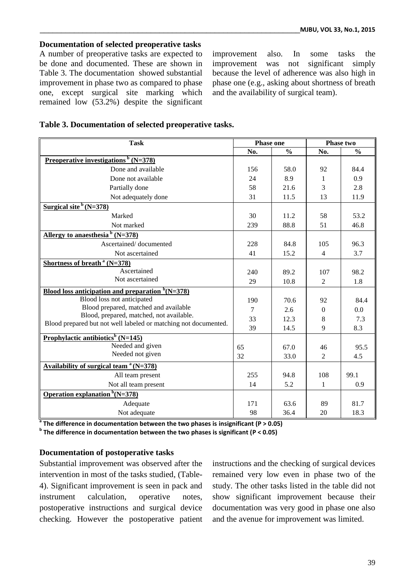### **Documentation of selected preoperative tasks**

A number of preoperative tasks are expected to be done and documented. These are shown in Table 3. The documentation showed substantial improvement in phase two as compared to phase one, except surgical site marking which remained low (53.2%) despite the significant improvement also. In some tasks the improvement was not significant simply because the level of adherence was also high in phase one (e.g., asking about shortness of breath and the availability of surgical team).

| Table 3. Documentation of selected preoperative tasks. |  |  |
|--------------------------------------------------------|--|--|
|                                                        |  |  |

| <b>Task</b>                                                          | <b>Phase one</b> |               | Phase two        |               |
|----------------------------------------------------------------------|------------------|---------------|------------------|---------------|
|                                                                      | No.              | $\frac{0}{0}$ | No.              | $\frac{0}{0}$ |
| Preoperative investigations $\frac{b}{c}$ (N=378)                    |                  |               |                  |               |
| Done and available                                                   | 156              | 58.0          | 92               | 84.4          |
| Done not available                                                   | 24               | 8.9           | 1                | 0.9           |
| Partially done                                                       | 58               | 21.6          | 3                | 2.8           |
| Not adequately done                                                  | 31               | 11.5          | 13               | 11.9          |
| Surgical site $b(N=378)$                                             |                  |               |                  |               |
| Marked                                                               | 30               | 11.2          | 58               | 53.2          |
| Not marked                                                           | 239              | 88.8          | 51               | 46.8          |
| Allergy to anaesthesia $b(N=378)$                                    |                  |               |                  |               |
| Ascertained/documented                                               | 228              | 84.8          | 105              | 96.3          |
| Not ascertained                                                      | 41               | 15.2          | $\overline{4}$   | 3.7           |
| Shortness of breath $a(N=378)$                                       |                  |               |                  |               |
| Ascertained                                                          | 240              | 89.2          | 107              | 98.2          |
| Not ascertained                                                      | 29               | 10.8          | 2                | 1.8           |
| <u>Blood loss anticipation and preparation <math>b(N=378)</math></u> |                  |               |                  |               |
| Blood loss not anticipated                                           | 190              | 70.6          | 92               | 84.4          |
| Blood prepared, matched and available                                | $\tau$           | 2.6           | $\boldsymbol{0}$ | 0.0           |
| Blood, prepared, matched, not available.                             | 33               | 12.3          | 8                | 7.3           |
| Blood prepared but not well labeled or matching not documented.      | 39               | 14.5          | 9                | 8.3           |
| <b>Prophylactic antibiotics</b> <sup>b</sup> (N=145)                 |                  |               |                  |               |
| Needed and given                                                     | 65               | 67.0          | 46               | 95.5          |
| Needed not given                                                     | 32               | 33.0          | 2                | 4.5           |
| Availability of surgical team $a(N=378)$                             |                  |               |                  |               |
| All team present                                                     | 255              | 94.8          | 108              | 99.1          |
| Not all team present                                                 | 14               | 5.2           | $\mathbf{1}$     | 0.9           |
| Operation explanation ${}^{\rm b}$ (N=378)                           |                  |               |                  |               |
| Adequate                                                             | 171              | 63.6          | 89               | 81.7          |
| Not adequate                                                         | 98               | 36.4          | 20               | 18.3          |

**a The difference in documentation between the two phases is insignificant (P > 0.05)**

**b The difference in documentation between the two phases is significant (P < 0.05)**

#### **Documentation of postoperative tasks**

Substantial improvement was observed after the intervention in most of the tasks studied, (Table-4). Significant improvement is seen in pack and instrument calculation, operative notes, postoperative instructions and surgical device checking. However the postoperative patient instructions and the checking of surgical devices remained very low even in phase two of the study. The other tasks listed in the table did not show significant improvement because their documentation was very good in phase one also and the avenue for improvement was limited.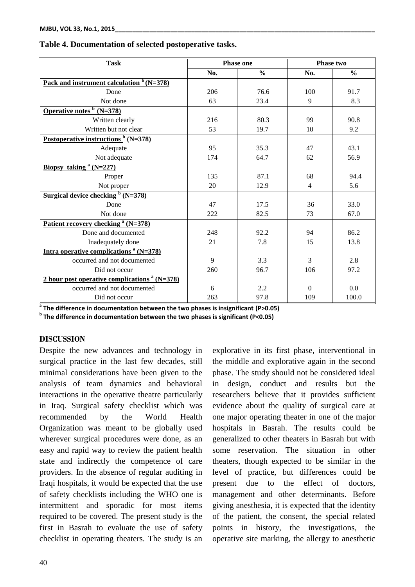| <b>Task</b>                                                  | <b>Phase one</b> |               | <b>Phase two</b> |               |
|--------------------------------------------------------------|------------------|---------------|------------------|---------------|
|                                                              | No.              | $\frac{0}{0}$ | No.              | $\frac{0}{0}$ |
| <u>Pack and instrument calculation <math>b(N=378)</math></u> |                  |               |                  |               |
| Done                                                         | 206              | 76.6          | 100              | 91.7          |
| Not done                                                     | 63               | 23.4          | 9                | 8.3           |
| Operative notes $\frac{b}{c}$ (N=378)                        |                  |               |                  |               |
| Written clearly                                              | 216              | 80.3          | 99               | 90.8          |
| Written but not clear                                        | 53               | 19.7          | 10               | 9.2           |
| Postoperative instructions $b$ (N=378)                       |                  |               |                  |               |
| Adequate                                                     | 95               | 35.3          | 47               | 43.1          |
| Not adequate                                                 | 174              | 64.7          | 62               | 56.9          |
| Biopsy taking $(A=227)$                                      |                  |               |                  |               |
| Proper                                                       | 135              | 87.1          | 68               | 94.4          |
| Not proper                                                   | 20               | 12.9          | $\overline{4}$   | 5.6           |
| Surgical device checking $\frac{b}{c}$ (N=378)               |                  |               |                  |               |
| Done                                                         | 47               | 17.5          | 36               | 33.0          |
| Not done                                                     | 222              | 82.5          | 73               | 67.0          |
| Patient recovery checking <sup>a</sup> (N=378)               |                  |               |                  |               |
| Done and documented                                          | 248              | 92.2          | 94               | 86.2          |
| Inadequately done                                            | 21               | 7.8           | 15               | 13.8          |
| Intra operative complications $a(N=378)$                     |                  |               |                  |               |
| occurred and not documented                                  | 9                | 3.3           | 3                | 2.8           |
| Did not occur                                                | 260              | 96.7          | 106              | 97.2          |
| 2 hour post operative complications $a(N=378)$               |                  |               |                  |               |
| occurred and not documented                                  | 6                | 2.2           | $\Omega$         | 0.0           |
| Did not occur                                                | 263              | 97.8          | 109              | 100.0         |

#### **Table 4. Documentation of selected postoperative tasks.**

**a The difference in documentation between the two phases is insignificant (P>0.05)**

**b The difference in documentation between the two phases is significant (P<0.05)**

### **DISCUSSION**

Despite the new advances and technology in surgical practice in the last few decades, still minimal considerations have been given to the analysis of team dynamics and behavioral interactions in the operative theatre particularly in Iraq. Surgical safety checklist which was recommended by the World Health Organization was meant to be globally used wherever surgical procedures were done, as an easy and rapid way to review the patient health state and indirectly the competence of care providers. In the absence of regular auditing in Iraqi hospitals, it would be expected that the use of safety checklists including the WHO one is intermittent and sporadic for most items required to be covered. The present study is the first in Basrah to evaluate the use of safety checklist in operating theaters. The study is an

explorative in its first phase, interventional in the middle and explorative again in the second phase. The study should not be considered ideal in design, conduct and results but the researchers believe that it provides sufficient evidence about the quality of surgical care at one major operating theater in one of the major hospitals in Basrah. The results could be generalized to other theaters in Basrah but with some reservation. The situation in other theaters, though expected to be similar in the level of practice, but differences could be present due to the effect of doctors, management and other determinants. Before giving anesthesia, it is expected that the identity of the patient, the consent, the special related points in history, the investigations, the operative site marking, the allergy to anesthetic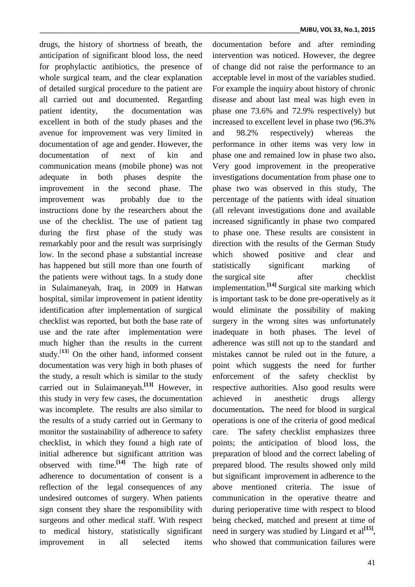drugs, the history of shortness of breath, the anticipation of significant blood loss, the need for prophylactic antibiotics, the presence of whole surgical team, and the clear explanation of detailed surgical procedure to the patient are all carried out and documented. Regarding patient identity, the documentation was excellent in both of the study phases and the avenue for improvement was very limited in documentation of age and gender. However, the documentation of next of kin and communication means (mobile phone) was not adequate in both phases despite the improvement in the second phase. The improvement was probably due to the instructions done by the researchers about the use of the checklist. The use of patient tag during the first phase of the study was remarkably poor and the result was surprisingly low. In the second phase a substantial increase has happened but still more than one fourth of the patients were without tags. In a study done in Sulaimaneyah, Iraq, in 2009 in Hatwan hospital, similar improvement in patient identity identification after implementation of surgical checklist was reported, but both the base rate of use and the rate after implementation were much higher than the results in the current study.<sup>[13]</sup> On the other hand, informed consent documentation was very high in both phases of the study, a result which is similar to the study carried out in Sulaimaneyah.**[13]** However, in this study in very few cases, the documentation was incomplete. The results are also similar to the results of a study carried out in Germany to monitor the sustainability of adherence to safety checklist, in which they found a high rate of initial adherence but significant attrition was observed with time.**[14]** The high rate of adherence to documentation of consent is a reflection of the legal consequences of any undesired outcomes of surgery. When patients sign consent they share the responsibility with surgeons and other medical staff. With respect to medical history, statistically significant improvement in all selected items

documentation before and after reminding intervention was noticed. However, the degree of change did not raise the performance to an acceptable level in most of the variables studied. For example the inquiry about history of chronic disease and about last meal was high even in phase one 73.6% and 72.9% respectively) but increased to excellent level in phase two (96.3% and 98.2% respectively) whereas the performance in other items was very low in phase one and remained low in phase two also**.** Very good improvement in the preoperative investigations documentation from phase one to phase two was observed in this study, The percentage of the patients with ideal situation (all relevant investigations done and available increased significantly in phase two compared to phase one. These results are consistent in direction with the results of the German Study which showed positive and clear and statistically significant marking of the surgical site after checklist implementation.**[14]** Surgical site marking which is important task to be done pre-operatively as it would eliminate the possibility of making surgery in the wrong sites was unfortunately inadequate in both phases. The level of adherence was still not up to the standard and mistakes cannot be ruled out in the future, a point which suggests the need for further enforcement of the safety checklist by respective authorities. Also good results were achieved in anesthetic drugs allergy documentation**.** The need for blood in surgical operations is one of the criteria of good medical care. The safety checklist emphasizes three points; the anticipation of blood loss, the preparation of blood and the correct labeling of prepared blood. The results showed only mild but significant improvement in adherence to the above mentioned criteria. The issue of communication in the operative theatre and during perioperative time with respect to blood being checked, matched and present at time of need in surgery was studied by Lingard et al<sup>[15]</sup>, who showed that communication failures were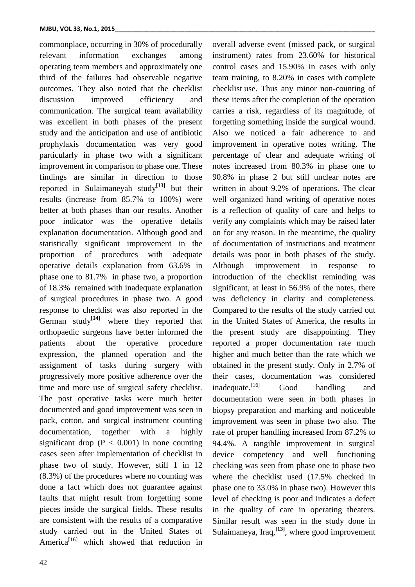commonplace, occurring in 30% of procedurally relevant information exchanges among operating team members and approximately one third of the failures had observable negative outcomes. They also noted that the checklist discussion improved efficiency and communication. The surgical team availability was excellent in both phases of the present study and the anticipation and use of antibiotic prophylaxis documentation was very good particularly in phase two with a significant improvement in comparison to phase one. These findings are similar in direction to those reported in Sulaimaneyah study**[13]** but their results (increase from 85.7% to 100%) were better at both phases than our results. Another poor indicator was the operative details explanation documentation. Although good and statistically significant improvement in the proportion of procedures with adequate operative details explanation from 63.6% in phase one to 81.7% in phase two, a proportion of 18.3% remained with inadequate explanation of surgical procedures in phase two. A good response to checklist was also reported in the German study<sup>[14]</sup> where they reported that orthopaedic surgeons have better informed the patients about the operative procedure expression, the planned operation and the assignment of tasks during surgery with progressively more positive adherence over the time and more use of surgical safety checklist. The post operative tasks were much better documented and good improvement was seen in pack, cotton, and surgical instrument counting documentation, together with a highly significant drop ( $P < 0.001$ ) in none counting cases seen after implementation of checklist in phase two of study. However, still 1 in 12 (8.3%) of the procedures where no counting was done a fact which does not guarantee against faults that might result from forgetting some pieces inside the surgical fields. These results are consistent with the results of a comparative study carried out in the United States of America<sup>[16]</sup> which showed that reduction in overall adverse event (missed pack, or surgical instrument) rates from 23.60% for historical control cases and 15.90% in cases with only team training, to 8.20% in cases with complete checklist use. Thus any minor non-counting of these items after the completion of the operation carries a risk, regardless of its magnitude, of forgetting something inside the surgical wound. Also we noticed a fair adherence to and improvement in operative notes writing. The percentage of clear and adequate writing of notes increased from 80.3% in phase one to 90.8% in phase 2 but still unclear notes are written in about 9.2% of operations. The clear well organized hand writing of operative notes is a reflection of quality of care and helps to verify any complaints which may be raised later on for any reason. In the meantime, the quality of documentation of instructions and treatment details was poor in both phases of the study. Although improvement in response to introduction of the checklist reminding was significant, at least in 56.9% of the notes, there was deficiency in clarity and completeness. Compared to the results of the study carried out in the United States of America, the results in the present study are disappointing. They reported a proper documentation rate much higher and much better than the rate which we obtained in the present study. Only in 2.7% of their cases, documentation was considered inadequate**.** Good handling and documentation were seen in both phases in biopsy preparation and marking and noticeable improvement was seen in phase two also. The rate of proper handling increased from 87.2% to 94.4%. A tangible improvement in surgical device competency and well functioning checking was seen from phase one to phase two where the checklist used (17.5% checked in phase one to 33.0% in phase two). However this level of checking is poor and indicates a defect in the quality of care in operating theaters. Similar result was seen in the study done in Sulaimaneya, Iraq,<sup>[13]</sup>, where good improvement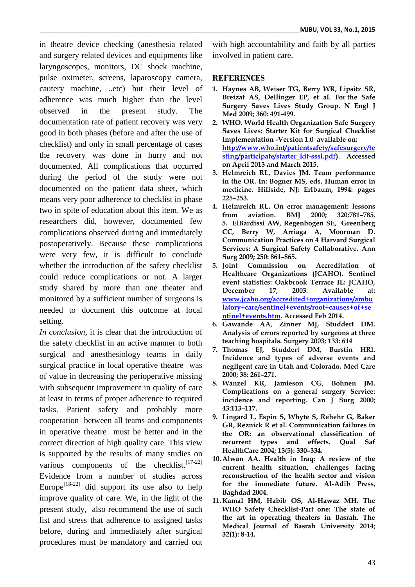in theatre device checking (anesthesia related and surgery related devices and equipments like laryngoscopes, monitors, DC shock machine, pulse oximeter, screens, laparoscopy camera, cautery machine, ..etc) but their level of adherence was much higher than the level observed in the present study. The documentation rate of patient recovery was very good in both phases (before and after the use of checklist) and only in small percentage of cases the recovery was done in hurry and not documented. All complications that occurred during the period of the study were not documented on the patient data sheet, which means very poor adherence to checklist in phase two in spite of education about this item. We as researchers did, however, documented few complications observed during and immediately postoperatively. Because these complications were very few, it is difficult to conclude whether the introduction of the safety checklist could reduce complications or not. A larger study shared by more than one theater and monitored by a sufficient number of surgeons is needed to document this outcome at local setting.

*In conclusion,* it is clear that the introduction of the safety checklist in an active manner to both surgical and anesthesiology teams in daily surgical practice in local operative theatre was of value in decreasing the perioperative missing with subsequent improvement in quality of care at least in terms of proper adherence to required tasks. Patient safety and probably more cooperation between all teams and components in operative theatre must be better and in the correct direction of high quality care. This view is supported by the results of many studies on various components of the checklist.<sup>[17-22]</sup> Evidence from a number of studies across Europe<sup>[18-22]</sup> did support its use also to help improve quality of care. We, in the light of the present study, also recommend the use of such list and stress that adherence to assigned tasks before, during and immediately after surgical procedures must be mandatory and carried out

with high accountability and faith by all parties involved in patient care.

### **REFERENCES**

- **1. Haynes AB, Weiser TG, Berry WR, Lipsitz SR, Breizat AS, Dellinger EP, et al. For the Safe Surgery Saves Lives Study Group. N Engl J Med 2009; 360: 491-499.**
- **2. WHO. World Health Organization Safe Surgery Saves Lives: Starter Kit for Surgical Checklist Implementation -Version 1.0 available on: [http://www.who.int/patientsafety/safesurgery/te](http://www.who.int/patientsafety/safesurgery/testing/participate/starter_kit-sssl.pdf) [sting/participate/starter\\_kit-sssl.pdf\)](http://www.who.int/patientsafety/safesurgery/testing/participate/starter_kit-sssl.pdf). Accessed on April 2013 and March 2015.**
- **3. Helmreich RL, Davies JM. Team performance in the OR. In: Bogner MS, eds. Human error in medicine. Hillside, NJ: Erlbaum, 1994: pages 225–253.**
- **4. Helmreich RL. On error management: lessons from aviation. BMJ 2000; 320:781–785. 5. ElBardissi AW, Regenbogen SE, Greenberg CC, Berry W, Arriaga A, Moorman D. Communication Practices on 4 Harvard Surgical Services: A Surgical Safety Collaborative. Ann Surg 2009; 250: 861–865.**
- **5. Joint Commission on Accreditation of Healthcare Organizations (JCAHO). Sentinel event statistics: Oakbrook Terrace IL: JCAHO, December 17, 2003. Available at: [www.jcaho.org/accredited+organizations/ambu](http://www.jcaho.org/accredited+organizations/ambulatory+care/sentinel+events/root+causes+of+sentinel+events.htm) [latory+care/sentinel+events/root+causes+of+se](http://www.jcaho.org/accredited+organizations/ambulatory+care/sentinel+events/root+causes+of+sentinel+events.htm) [ntinel+events.htm.](http://www.jcaho.org/accredited+organizations/ambulatory+care/sentinel+events/root+causes+of+sentinel+events.htm) Accessed Feb 2014.**
- **6. Gawande AA, Zinner MJ, Studdert DM. Analysis of errors reported by surgeons at three teaching hospitals. Surgery 2003; 133: 614**
- **7. Thomas EJ, Studdert DM, Burstin HRl. Incidence and types of adverse events and negligent care in Utah and Colorado. Med Care 2000; 38: 261–271.**
- **8. Wanzel KR, Jamieson CG, Bohnen JM. Complications on a general surgery Service: incidence and reporting. Can J Surg 2000; 43:113–117.**
- **9. Lingard L, Espin S, Whyte S, Rehehr G, Baker GR, Reznick R et al. Communication failures in the OR: an observational classification of recurrent types and effects. Qual Saf HealthCare 2004; 13(5): 330–334.**
- **10. Alwan AA. Health in Iraq: A review of the current health situation, challenges facing reconstruction of the health sector and vision for the immediate future. Al-Adib Press, Baghdad 2004.**
- **11. Kamal HM, Habib OS, Al-Hawaz MH. The WHO Safety Checklist-Part one: The state of the art in operating theaters in Basrah. The Medical Journal of Basrah University 2014; 32(1): 8-14.**